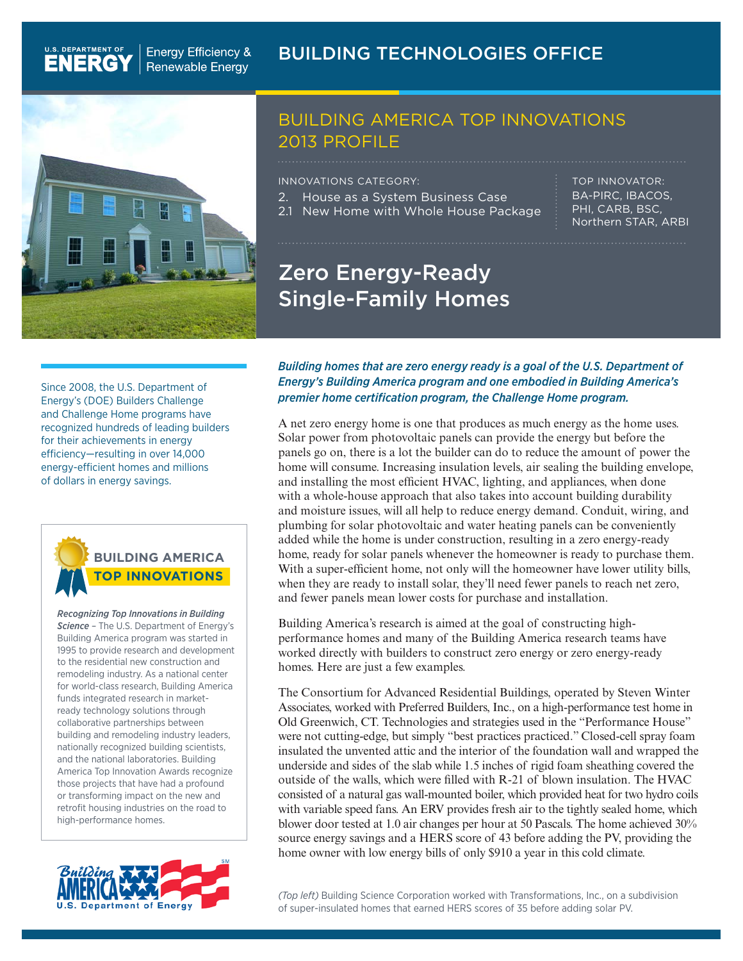

U.S. DEPARTMENT OF

### BUILDING AMERICA TOP INNOVATIONS 2013 PROFILE

INNOVATIONS CATEGORY:

- 2. House as a System Business Case
- 2.1 New Home with Whole House Package

TOP INNOVATOR: BA-PIRC, IBACOS, PHI, CARB, BSC, Northern STAR, ARBI

## Zero Energy-Ready Single-Family Homes

Since 2008, the U.S. Department of Energy's (DOE) Builders Challenge and Challenge Home programs have recognized hundreds of leading builders for their achievements in energy efficiency—resulting in over 14,000 energy-efficient homes and millions of dollars in energy savings.



*Recognizing Top Innovations in Building Science –* The U.S. Department of Energy's Building America program was started in 1995 to provide research and development to the residential new construction and remodeling industry. As a national center for world-class research, Building America funds integrated research in marketready technology solutions through collaborative partnerships between building and remodeling industry leaders, nationally recognized building scientists, and the national laboratories. Building America Top Innovation Awards recognize those projects that have had a profound or transforming impact on the new and retrofit housing industries on the road to high-performance homes.



*Building homes that are zero energy ready is a goal of the U.S. Department of Energy's Building America program and one embodied in Building America's premier home certification program, the Challenge Home program.* 

A net zero energy home is one that produces as much energy as the home uses. Solar power from photovoltaic panels can provide the energy but before the panels go on, there is a lot the builder can do to reduce the amount of power the home will consume. Increasing insulation levels, air sealing the building envelope, and installing the most efficient HVAC, lighting, and appliances, when done with a whole-house approach that also takes into account building durability and moisture issues, will all help to reduce energy demand. Conduit, wiring, and plumbing for solar photovoltaic and water heating panels can be conveniently added while the home is under construction, resulting in a zero energy-ready home, ready for solar panels whenever the homeowner is ready to purchase them. With a super-efficient home, not only will the homeowner have lower utility bills, when they are ready to install solar, they'll need fewer panels to reach net zero, and fewer panels mean lower costs for purchase and installation.

Building America's research is aimed at the goal of constructing highperformance homes and many of the Building America research teams have worked directly with builders to construct zero energy or zero energy-ready homes. Here are just a few examples.

The Consortium for Advanced Residential Buildings, operated by Steven Winter Associates, worked with Preferred Builders, Inc., on a high-performance test home in Old Greenwich, CT. Technologies and strategies used in the "Performance House" were not cutting-edge, but simply "best practices practiced." Closed-cell spray foam insulated the unvented attic and the interior of the foundation wall and wrapped the underside and sides of the slab while 1.5 inches of rigid foam sheathing covered the outside of the walls, which were filled with R-21 of blown insulation. The HVAC consisted of a natural gas wall-mounted boiler, which provided heat for two hydro coils with variable speed fans. An ERV provides fresh air to the tightly sealed home, which blower door tested at 1.0 air changes per hour at 50 Pascals. The home achieved 30% source energy savings and a HERS score of 43 before adding the PV, providing the home owner with low energy bills of only \$910 a year in this cold climate.

*(Top left)* Building Science Corporation worked with Transformations, Inc., on a subdivision of super-insulated homes that earned HERS scores of 35 before adding solar PV.